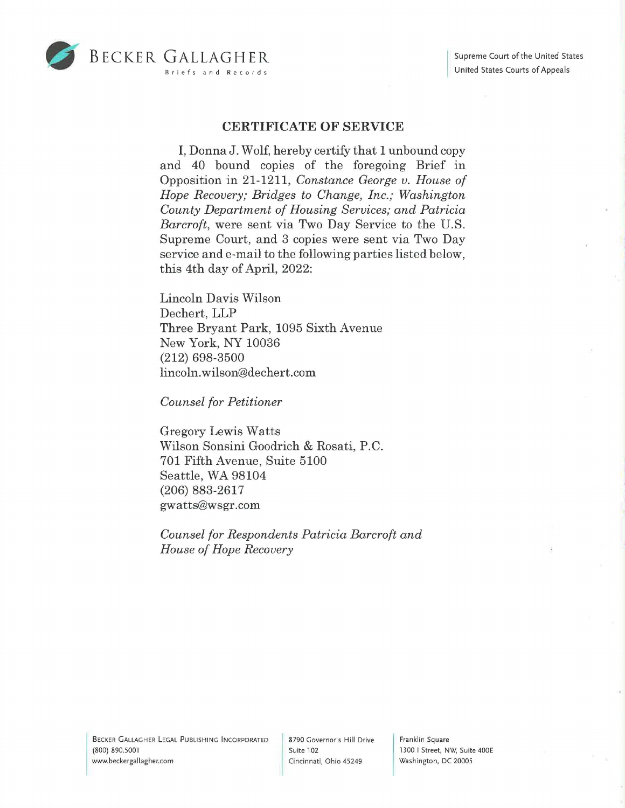



## **CERTIFICATE OF SERVICE**

I, DonnaJ. Wolf, hereby certify that 1 unbound copy and 40 bound copies of the foregoing Brief in Opposition in 21-1211, *Constance George v. House of Hope Recovery; Bridges to Change, Inc.; Washington County Department of Housing Services; and Patricia Barcroft,* were sent via Two Day Service to the U.S. Supreme Court, and 3 copies were sent via Two Day service and e-mail to the following parties listed below, this 4th day of April, 2022:

Lincoln Davis Wilson Dechert, LLP Three Bryant Park, 1095 Sixth Avenue New York, NY 10036 (212) 698-3500 lincoln. wilson@dechert.com

*Counsel for Petitioner* 

Gregory Lewis Watts Wilson Sonsini Goodrich & Rosati, P.C. 701 Fifth Avenue, Suite 5100 Seattle, WA 98104 (206) 883-2617 gwatts@wsgr.com

*Counsel for Respondents Patricia Barcroft and House of Hope Recovery* 

Franklin Square 1300 I Street, NW, Suite 400E Washington, DC 20005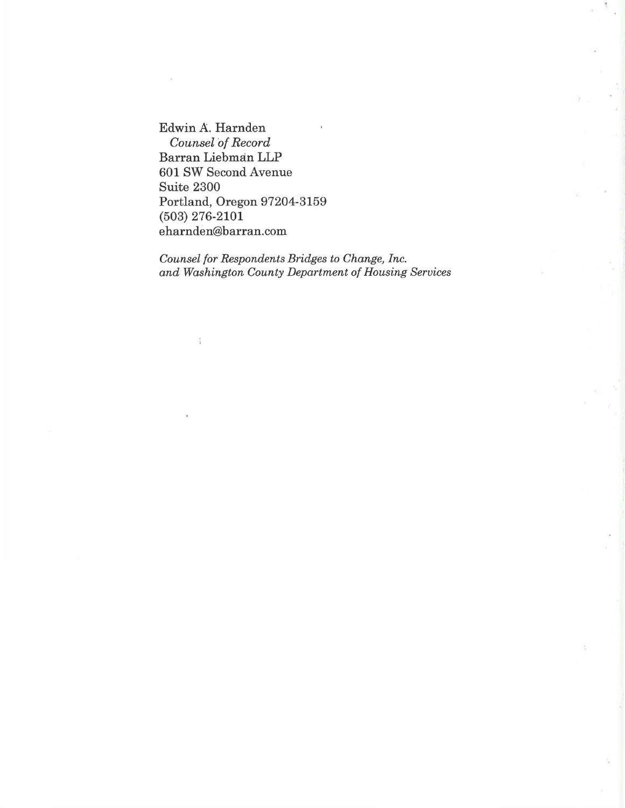Edwin A. Harnden *Counsel of Record*  Barran Liebman LLP 601 SW Second Avenue Suite 2300 Portland, Oregon 97204-3159 (503) 276-2101 eharnden@barran.com

l\$

*Counsel for Respondents Bridges to Change, Inc. and Washington County Department of Housing Services*